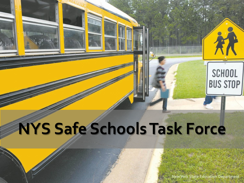# **NYS Safe Schools Task Force**

**New York State Education Department**

**SCHOOL** 

**BUS STOP**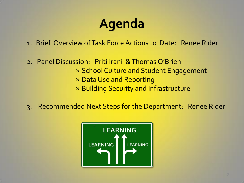## **Agenda**

1. Brief Overview of Task Force Actions to Date: Renee Rider

- 2. Panel Discussion: Priti Irani & Thomas O'Brien » School Culture and Student Engagement » Data Use and Reporting » Building Security and Infrastructure
- 3. Recommended Next Steps for the Department: Renee Rider

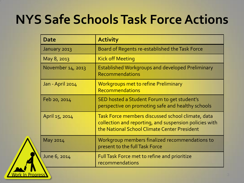## **NYS Safe Schools Task Force Actions**

| Date              | <b>Activity</b>                                                                                                                                             |
|-------------------|-------------------------------------------------------------------------------------------------------------------------------------------------------------|
| January 2013      | Board of Regents re-established the Task Force                                                                                                              |
| May 8, 2013       | <b>Kick off Meeting</b>                                                                                                                                     |
| November 14, 2013 | <b>Established Workgroups and developed Preliminary</b><br>Recommendations                                                                                  |
| Jan - April 2014  | <b>Workgroups met to refine Preliminary</b><br><b>Recommendations</b>                                                                                       |
| Feb 20, 2014      | SED hosted a Student Forum to get student's<br>perspective on promoting safe and healthy schools                                                            |
| April 15, 2014    | Task Force members discussed school climate, data<br>collection and reporting, and suspension policies with<br>the National School Climate Center President |
| May 2014          | Workgroup members finalized recommendations to<br>present to the full Task Force                                                                            |
| June 6, 2014      | Full Task Force met to refine and prioritize<br>recommendations                                                                                             |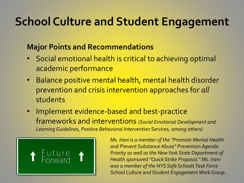## **School Culture and Student Engagement**

#### **Major Points and Recommendations**

- Social emotional health is critical to achieving optimal academic performance
- Balance positive mental health, mental health disorder prevention and crisis intervention approaches for *all*  students
- Implement evidence-based and best-practice frameworks and interventions *(Social Emotional Development and Learning Guidelines, Positive Behavioral Intervention Services, among others)*



*Ms. Irani is a member of the "Promote Mental Health and Prevent Substance Abuse" Prevention Agenda Priority as well as the New York State Department of Health sponsored "Quick Strike Proposal." Ms. Irani was a member of the NYS Safe Schools Task Force School Culture and Student Engagement Work Group.*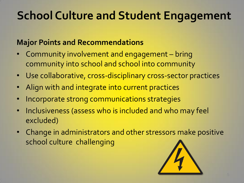## **School Culture and Student Engagement**

### **Major Points and Recommendations**

- Community involvement and engagement bring community into school and school into community
- Use collaborative, cross-disciplinary cross-sector practices
- Align with and integrate into current practices
- Incorporate strong communications strategies
- Inclusiveness (assess who is included and who may feel excluded)
- Change in administrators and other stressors make positive school culture challenging

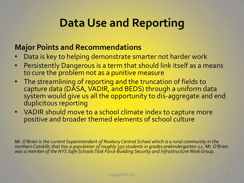## **Data Use and Reporting**

#### **Major Points and Recommendations**

- Data is key to helping demonstrate smarter not harder work
- Persistently Dangerous is a term that should link itself as a means to cure the problem not as a punitive measure
- The streamlining of reporting and the truncation of fields to capture data (DASA, VADIR, and BEDS) through a uniform data system would give us all the opportunity to dis-aggregate and end duplicitous reporting
- VADIR should move to a school climate index to capture more positive and broader themed elements of school culture

*Mr. O'Brien is the current Superintendent of Roxbury Central School which is a rural community in the northern Catskills that has a population of roughly 350 students in grades prekindergarten-12. Mr. O'Brien was a member of the NYS Safe Schools Task Force Building Security and Infrastructure Work Group.*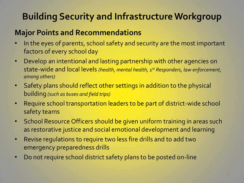### **Building Security and Infrastructure Workgroup**

#### **Major Points and Recommendations**

- In the eyes of parents, school safety and security are the most important factors of every school day
- Develop an intentional and lasting partnership with other agencies on state-wide and local levels *(health, mental health, 1st Responders, law enforcement, among others)*
- Safety plans should reflect other settings in addition to the physical building *(such as buses and field trips)*
- Require school transportation leaders to be part of district-wide school safety teams
- School Resource Officers should be given uniform training in areas such as restorative justice and social emotional development and learning
- Revise regulations to require two less fire drills and to add two emergency preparedness drills
- Do not require school district safety plans to be posted on-line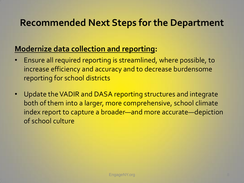### **Recommended Next Steps for the Department**

### **Modernize data collection and reporting:**

- Ensure all required reporting is streamlined, where possible, to increase efficiency and accuracy and to decrease burdensome reporting for school districts
- Update the VADIR and DASA reporting structures and integrate both of them into a larger, more comprehensive, school climate index report to capture a broader—and more accurate—depiction of school culture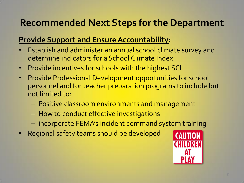### **Recommended Next Steps for the Department**

### **Provide Support and Ensure Accountability:**

- Establish and administer an annual school climate survey and determine indicators for a School Climate Index
- Provide incentives for schools with the highest SCI
- Provide Professional Development opportunities for school personnel and for teacher preparation programs to include but not limited to:
	- Positive classroom environments and management
	- How to conduct effective investigations
	- incorporate FEMA's incident command system training
- Regional safety teams should be developed

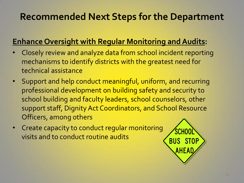### **Recommended Next Steps for the Department**

### **Enhance Oversight with Regular Monitoring and Audits:**

- Closely review and analyze data from school incident reporting mechanisms to identify districts with the greatest need for technical assistance
- Support and help conduct meaningful, uniform, and recurring professional development on building safety and security to school building and faculty leaders, school counselors, other support staff, Dignity Act Coordinators, and School Resource Officers, among others
- Create capacity to conduct regular monitoring visits and to conduct routine audits